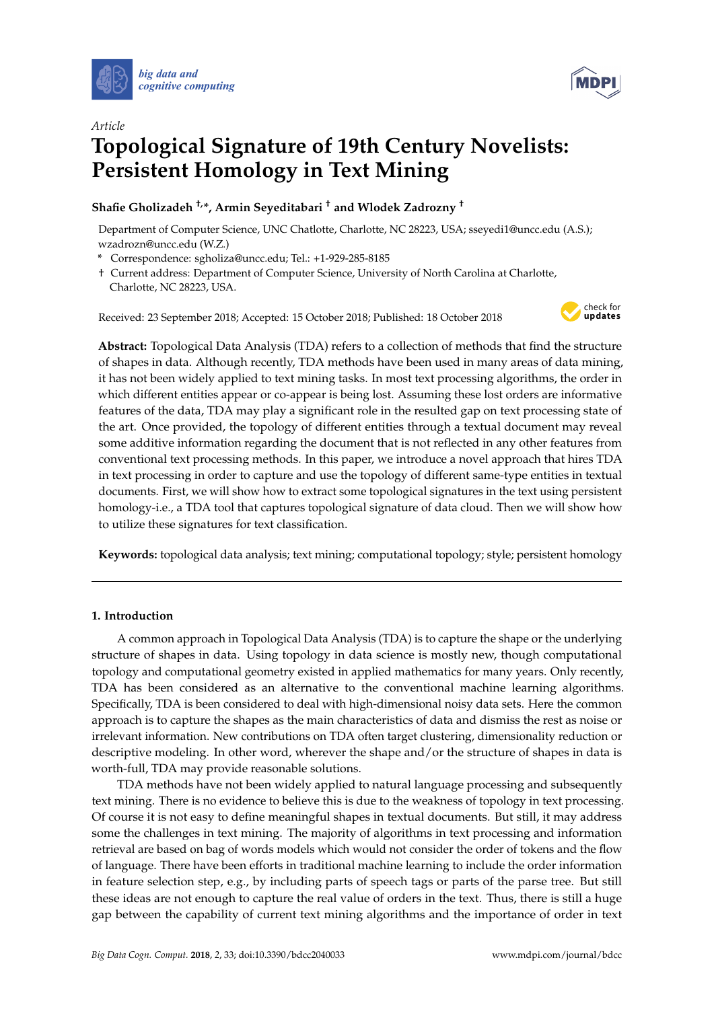



# *Article* **Topological Signature of 19th Century Novelists: Persistent Homology in Text Mining**

**Shafie Gholizadeh †,\*, Armin Seyeditabari † and Wlodek Zadrozny †**

Department of Computer Science, UNC Chatlotte, Charlotte, NC 28223, USA; sseyedi1@uncc.edu (A.S.); wzadrozn@uncc.edu (W.Z.)

- **\*** Correspondence: sgholiza@uncc.edu; Tel.: +1-929-285-8185
- † Current address: Department of Computer Science, University of North Carolina at Charlotte, Charlotte, NC 28223, USA.

Received: 23 September 2018; Accepted: 15 October 2018; Published: 18 October 2018



**Abstract:** Topological Data Analysis (TDA) refers to a collection of methods that find the structure of shapes in data. Although recently, TDA methods have been used in many areas of data mining, it has not been widely applied to text mining tasks. In most text processing algorithms, the order in which different entities appear or co-appear is being lost. Assuming these lost orders are informative features of the data, TDA may play a significant role in the resulted gap on text processing state of the art. Once provided, the topology of different entities through a textual document may reveal some additive information regarding the document that is not reflected in any other features from conventional text processing methods. In this paper, we introduce a novel approach that hires TDA in text processing in order to capture and use the topology of different same-type entities in textual documents. First, we will show how to extract some topological signatures in the text using persistent homology-i.e., a TDA tool that captures topological signature of data cloud. Then we will show how to utilize these signatures for text classification.

**Keywords:** topological data analysis; text mining; computational topology; style; persistent homology

# **1. Introduction**

A common approach in Topological Data Analysis (TDA) is to capture the shape or the underlying structure of shapes in data. Using topology in data science is mostly new, though computational topology and computational geometry existed in applied mathematics for many years. Only recently, TDA has been considered as an alternative to the conventional machine learning algorithms. Specifically, TDA is been considered to deal with high-dimensional noisy data sets. Here the common approach is to capture the shapes as the main characteristics of data and dismiss the rest as noise or irrelevant information. New contributions on TDA often target clustering, dimensionality reduction or descriptive modeling. In other word, wherever the shape and/or the structure of shapes in data is worth-full, TDA may provide reasonable solutions.

TDA methods have not been widely applied to natural language processing and subsequently text mining. There is no evidence to believe this is due to the weakness of topology in text processing. Of course it is not easy to define meaningful shapes in textual documents. But still, it may address some the challenges in text mining. The majority of algorithms in text processing and information retrieval are based on bag of words models which would not consider the order of tokens and the flow of language. There have been efforts in traditional machine learning to include the order information in feature selection step, e.g., by including parts of speech tags or parts of the parse tree. But still these ideas are not enough to capture the real value of orders in the text. Thus, there is still a huge gap between the capability of current text mining algorithms and the importance of order in text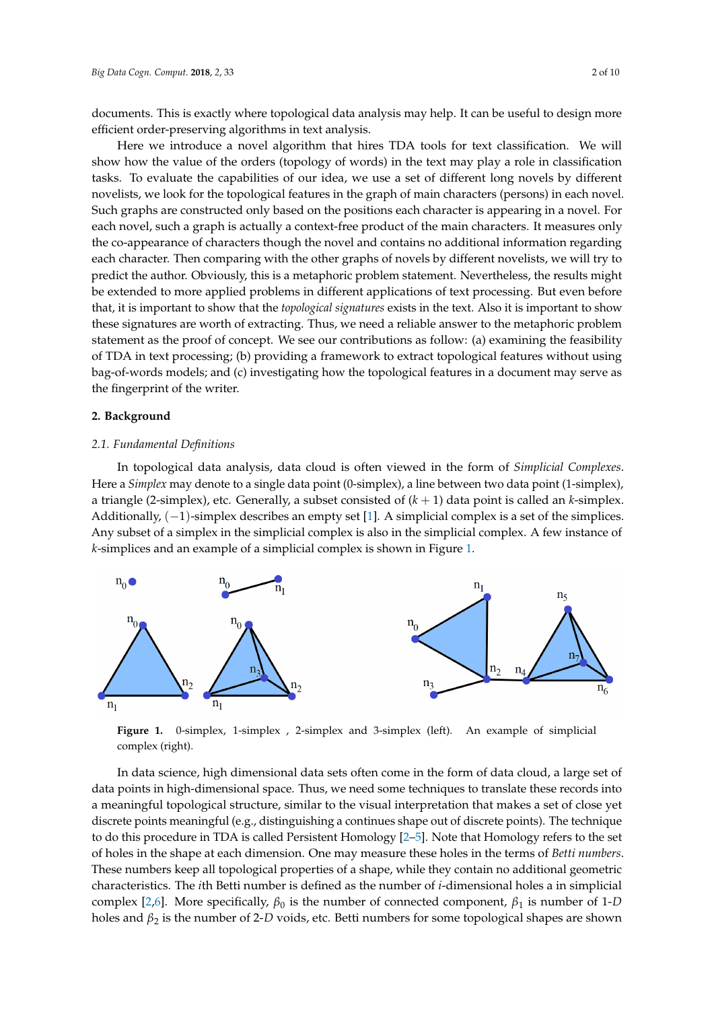documents. This is exactly where topological data analysis may help. It can be useful to design more efficient order-preserving algorithms in text analysis.

Here we introduce a novel algorithm that hires TDA tools for text classification. We will show how the value of the orders (topology of words) in the text may play a role in classification tasks. To evaluate the capabilities of our idea, we use a set of different long novels by different novelists, we look for the topological features in the graph of main characters (persons) in each novel. Such graphs are constructed only based on the positions each character is appearing in a novel. For each novel, such a graph is actually a context-free product of the main characters. It measures only the co-appearance of characters though the novel and contains no additional information regarding each character. Then comparing with the other graphs of novels by different novelists, we will try to predict the author. Obviously, this is a metaphoric problem statement. Nevertheless, the results might be extended to more applied problems in different applications of text processing. But even before that, it is important to show that the *topological signatures* exists in the text. Also it is important to show these signatures are worth of extracting. Thus, we need a reliable answer to the metaphoric problem statement as the proof of concept. We see our contributions as follow: (a) examining the feasibility of TDA in text processing; (b) providing a framework to extract topological features without using bag-of-words models; and (c) investigating how the topological features in a document may serve as the fingerprint of the writer.

#### **2. Background**

### *2.1. Fundamental Definitions*

In topological data analysis, data cloud is often viewed in the form of *Simplicial Complexes*. Here a *Simplex* may denote to a single data point (0-simplex), a line between two data point (1-simplex), a triangle (2-simplex), etc. Generally, a subset consisted of (*k* + 1) data point is called an *k*-simplex. Additionally,  $(-1)$ -simplex describes an empty set [\[1\]](#page-8-0). A simplicial complex is a set of the simplices. Any subset of a simplex in the simplicial complex is also in the simplicial complex. A few instance of *k*-simplices and an example of a simplicial complex is shown in Figure [1.](#page-1-0)

<span id="page-1-0"></span>

**Figure 1.** 0-simplex, 1-simplex , 2-simplex and 3-simplex (left). An example of simplicial complex (right).

In data science, high dimensional data sets often come in the form of data cloud, a large set of data points in high-dimensional space. Thus, we need some techniques to translate these records into a meaningful topological structure, similar to the visual interpretation that makes a set of close yet discrete points meaningful (e.g., distinguishing a continues shape out of discrete points). The technique to do this procedure in TDA is called Persistent Homology [\[2](#page-8-1)[–5\]](#page-8-2). Note that Homology refers to the set of holes in the shape at each dimension. One may measure these holes in the terms of *Betti numbers*. These numbers keep all topological properties of a shape, while they contain no additional geometric characteristics. The *i*th Betti number is defined as the number of *i*-dimensional holes a in simplicial complex [\[2](#page-8-1)[,6\]](#page-8-3). More specifically,  $\beta_0$  is the number of connected component,  $\beta_1$  is number of 1-*D* holes and *β*<sup>2</sup> is the number of 2-*D* voids, etc. Betti numbers for some topological shapes are shown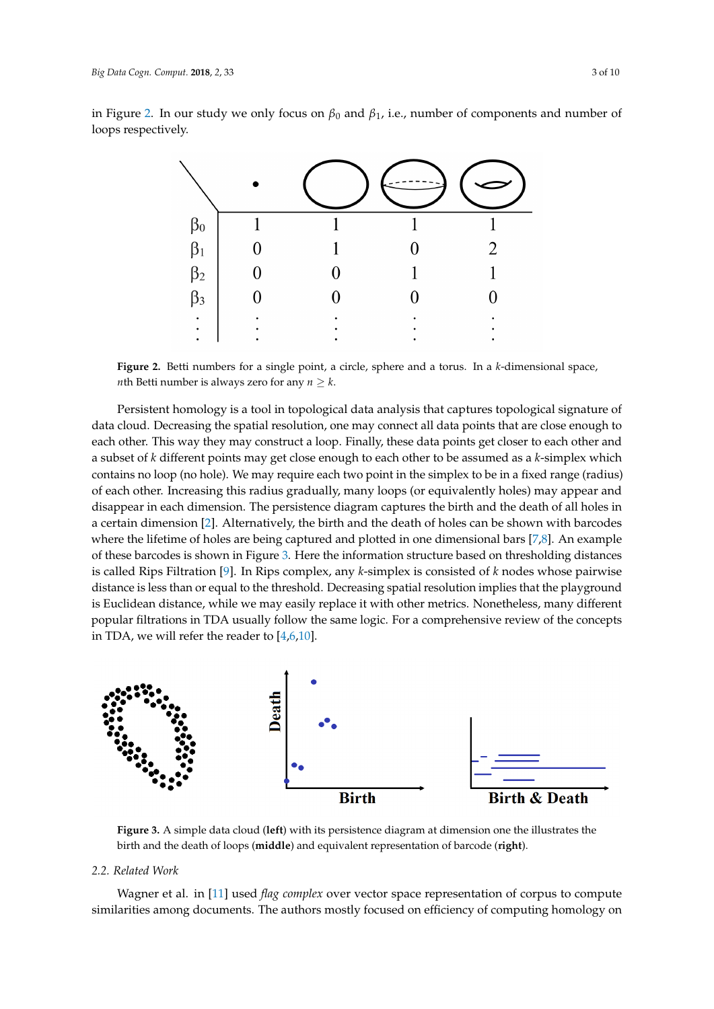<span id="page-2-0"></span>in Figure [2.](#page-2-0) In our study we only focus on  $\beta_0$  and  $\beta_1$ , i.e., number of components and number of loops respectively.



**Figure 2.** Betti numbers for a single point, a circle, sphere and a torus. In a *k*-dimensional space, *n*th Betti number is always zero for any  $n \geq k$ .

Persistent homology is a tool in topological data analysis that captures topological signature of data cloud. Decreasing the spatial resolution, one may connect all data points that are close enough to each other. This way they may construct a loop. Finally, these data points get closer to each other and a subset of *k* different points may get close enough to each other to be assumed as a *k*-simplex which contains no loop (no hole). We may require each two point in the simplex to be in a fixed range (radius) of each other. Increasing this radius gradually, many loops (or equivalently holes) may appear and disappear in each dimension. The persistence diagram captures the birth and the death of all holes in a certain dimension [\[2\]](#page-8-1). Alternatively, the birth and the death of holes can be shown with barcodes where the lifetime of holes are being captured and plotted in one dimensional bars [\[7,](#page-8-4)[8\]](#page-8-5). An example of these barcodes is shown in Figure [3.](#page-2-1) Here the information structure based on thresholding distances is called Rips Filtration [\[9\]](#page-8-6). In Rips complex, any *k*-simplex is consisted of *k* nodes whose pairwise distance is less than or equal to the threshold. Decreasing spatial resolution implies that the playground is Euclidean distance, while we may easily replace it with other metrics. Nonetheless, many different popular filtrations in TDA usually follow the same logic. For a comprehensive review of the concepts in TDA, we will refer the reader to  $[4,6,10]$  $[4,6,10]$  $[4,6,10]$ .

<span id="page-2-1"></span>

**Figure 3.** A simple data cloud (**left**) with its persistence diagram at dimension one the illustrates the birth and the death of loops (**middle**) and equivalent representation of barcode (**right**).

## *2.2. Related Work*

Wagner et al. in [\[11\]](#page-8-9) used *flag complex* over vector space representation of corpus to compute similarities among documents. The authors mostly focused on efficiency of computing homology on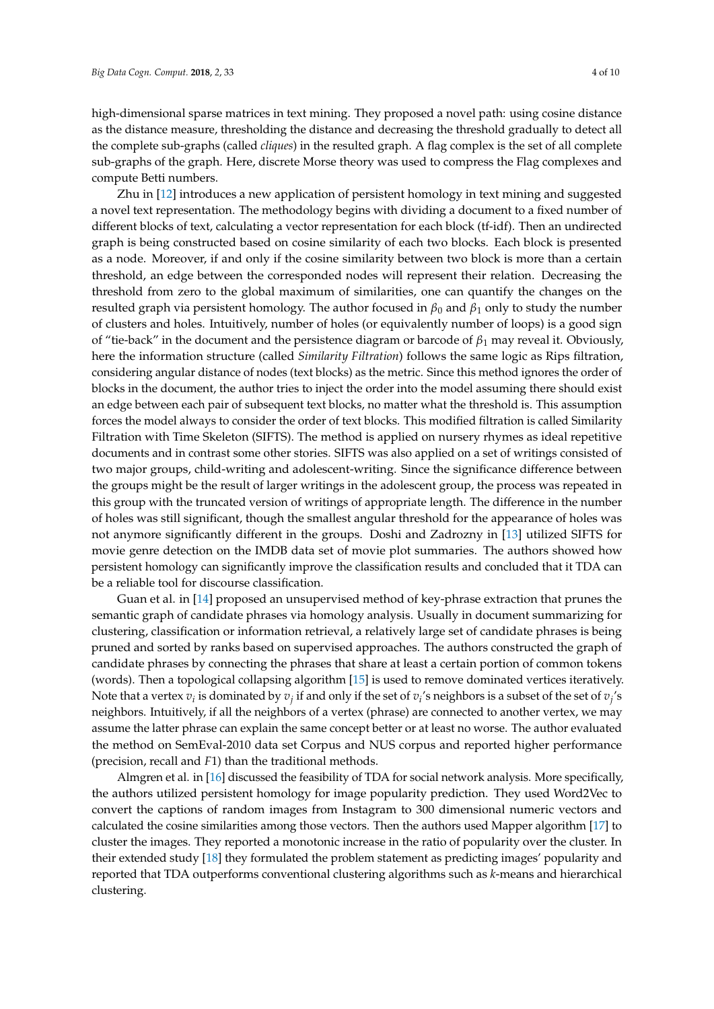high-dimensional sparse matrices in text mining. They proposed a novel path: using cosine distance as the distance measure, thresholding the distance and decreasing the threshold gradually to detect all the complete sub-graphs (called *cliques*) in the resulted graph. A flag complex is the set of all complete sub-graphs of the graph. Here, discrete Morse theory was used to compress the Flag complexes and compute Betti numbers.

Zhu in [\[12\]](#page-8-10) introduces a new application of persistent homology in text mining and suggested a novel text representation. The methodology begins with dividing a document to a fixed number of different blocks of text, calculating a vector representation for each block (tf-idf). Then an undirected graph is being constructed based on cosine similarity of each two blocks. Each block is presented as a node. Moreover, if and only if the cosine similarity between two block is more than a certain threshold, an edge between the corresponded nodes will represent their relation. Decreasing the threshold from zero to the global maximum of similarities, one can quantify the changes on the resulted graph via persistent homology. The author focused in  $\beta_0$  and  $\beta_1$  only to study the number of clusters and holes. Intuitively, number of holes (or equivalently number of loops) is a good sign of "tie-back" in the document and the persistence diagram or barcode of *β*<sup>1</sup> may reveal it. Obviously, here the information structure (called *Similarity Filtration*) follows the same logic as Rips filtration, considering angular distance of nodes (text blocks) as the metric. Since this method ignores the order of blocks in the document, the author tries to inject the order into the model assuming there should exist an edge between each pair of subsequent text blocks, no matter what the threshold is. This assumption forces the model always to consider the order of text blocks. This modified filtration is called Similarity Filtration with Time Skeleton (SIFTS). The method is applied on nursery rhymes as ideal repetitive documents and in contrast some other stories. SIFTS was also applied on a set of writings consisted of two major groups, child-writing and adolescent-writing. Since the significance difference between the groups might be the result of larger writings in the adolescent group, the process was repeated in this group with the truncated version of writings of appropriate length. The difference in the number of holes was still significant, though the smallest angular threshold for the appearance of holes was not anymore significantly different in the groups. Doshi and Zadrozny in [\[13\]](#page-8-11) utilized SIFTS for movie genre detection on the IMDB data set of movie plot summaries. The authors showed how persistent homology can significantly improve the classification results and concluded that it TDA can be a reliable tool for discourse classification.

Guan et al. in [\[14\]](#page-8-12) proposed an unsupervised method of key-phrase extraction that prunes the semantic graph of candidate phrases via homology analysis. Usually in document summarizing for clustering, classification or information retrieval, a relatively large set of candidate phrases is being pruned and sorted by ranks based on supervised approaches. The authors constructed the graph of candidate phrases by connecting the phrases that share at least a certain portion of common tokens (words). Then a topological collapsing algorithm [\[15\]](#page-8-13) is used to remove dominated vertices iteratively. Note that a vertex  $v_i$  is dominated by  $v_j$  if and only if the set of  $v_i'$ s neighbors is a subset of the set of  $v_j'$ s neighbors. Intuitively, if all the neighbors of a vertex (phrase) are connected to another vertex, we may assume the latter phrase can explain the same concept better or at least no worse. The author evaluated the method on SemEval-2010 data set Corpus and NUS corpus and reported higher performance (precision, recall and *F*1) than the traditional methods.

Almgren et al. in [\[16\]](#page-8-14) discussed the feasibility of TDA for social network analysis. More specifically, the authors utilized persistent homology for image popularity prediction. They used Word2Vec to convert the captions of random images from Instagram to 300 dimensional numeric vectors and calculated the cosine similarities among those vectors. Then the authors used Mapper algorithm [\[17\]](#page-8-15) to cluster the images. They reported a monotonic increase in the ratio of popularity over the cluster. In their extended study [\[18\]](#page-8-16) they formulated the problem statement as predicting images' popularity and reported that TDA outperforms conventional clustering algorithms such as *k*-means and hierarchical clustering.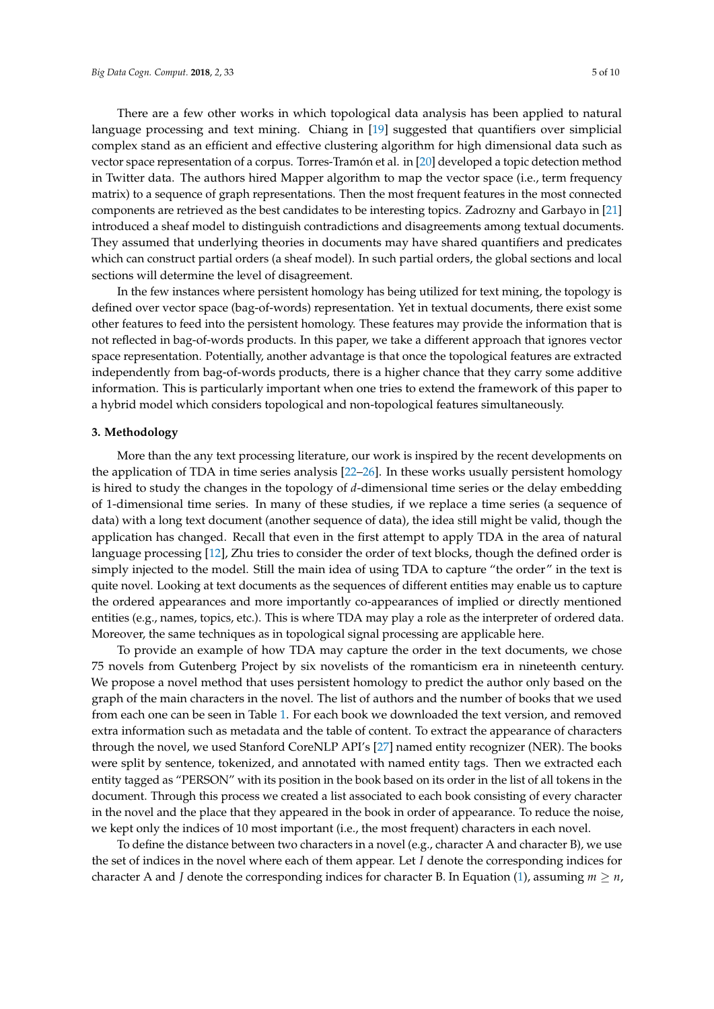There are a few other works in which topological data analysis has been applied to natural language processing and text mining. Chiang in [\[19\]](#page-8-17) suggested that quantifiers over simplicial complex stand as an efficient and effective clustering algorithm for high dimensional data such as vector space representation of a corpus. Torres-Tramón et al. in [\[20\]](#page-8-18) developed a topic detection method in Twitter data. The authors hired Mapper algorithm to map the vector space (i.e., term frequency matrix) to a sequence of graph representations. Then the most frequent features in the most connected components are retrieved as the best candidates to be interesting topics. Zadrozny and Garbayo in [\[21\]](#page-9-0) introduced a sheaf model to distinguish contradictions and disagreements among textual documents. They assumed that underlying theories in documents may have shared quantifiers and predicates which can construct partial orders (a sheaf model). In such partial orders, the global sections and local sections will determine the level of disagreement.

In the few instances where persistent homology has being utilized for text mining, the topology is defined over vector space (bag-of-words) representation. Yet in textual documents, there exist some other features to feed into the persistent homology. These features may provide the information that is not reflected in bag-of-words products. In this paper, we take a different approach that ignores vector space representation. Potentially, another advantage is that once the topological features are extracted independently from bag-of-words products, there is a higher chance that they carry some additive information. This is particularly important when one tries to extend the framework of this paper to a hybrid model which considers topological and non-topological features simultaneously.

#### **3. Methodology**

More than the any text processing literature, our work is inspired by the recent developments on the application of TDA in time series analysis [\[22](#page-9-1)[–26\]](#page-9-2). In these works usually persistent homology is hired to study the changes in the topology of *d*-dimensional time series or the delay embedding of 1-dimensional time series. In many of these studies, if we replace a time series (a sequence of data) with a long text document (another sequence of data), the idea still might be valid, though the application has changed. Recall that even in the first attempt to apply TDA in the area of natural language processing [\[12\]](#page-8-10), Zhu tries to consider the order of text blocks, though the defined order is simply injected to the model. Still the main idea of using TDA to capture "the order" in the text is quite novel. Looking at text documents as the sequences of different entities may enable us to capture the ordered appearances and more importantly co-appearances of implied or directly mentioned entities (e.g., names, topics, etc.). This is where TDA may play a role as the interpreter of ordered data. Moreover, the same techniques as in topological signal processing are applicable here.

To provide an example of how TDA may capture the order in the text documents, we chose 75 novels from Gutenberg Project by six novelists of the romanticism era in nineteenth century. We propose a novel method that uses persistent homology to predict the author only based on the graph of the main characters in the novel. The list of authors and the number of books that we used from each one can be seen in Table [1.](#page-7-0) For each book we downloaded the text version, and removed extra information such as metadata and the table of content. To extract the appearance of characters through the novel, we used Stanford CoreNLP API's [\[27\]](#page-9-3) named entity recognizer (NER). The books were split by sentence, tokenized, and annotated with named entity tags. Then we extracted each entity tagged as "PERSON" with its position in the book based on its order in the list of all tokens in the document. Through this process we created a list associated to each book consisting of every character in the novel and the place that they appeared in the book in order of appearance. To reduce the noise, we kept only the indices of 10 most important (i.e., the most frequent) characters in each novel.

To define the distance between two characters in a novel (e.g., character A and character B), we use the set of indices in the novel where each of them appear. Let *I* denote the corresponding indices for character A and *J* denote the corresponding indices for character B. In Equation [\(1\)](#page-5-0), assuming  $m > n$ ,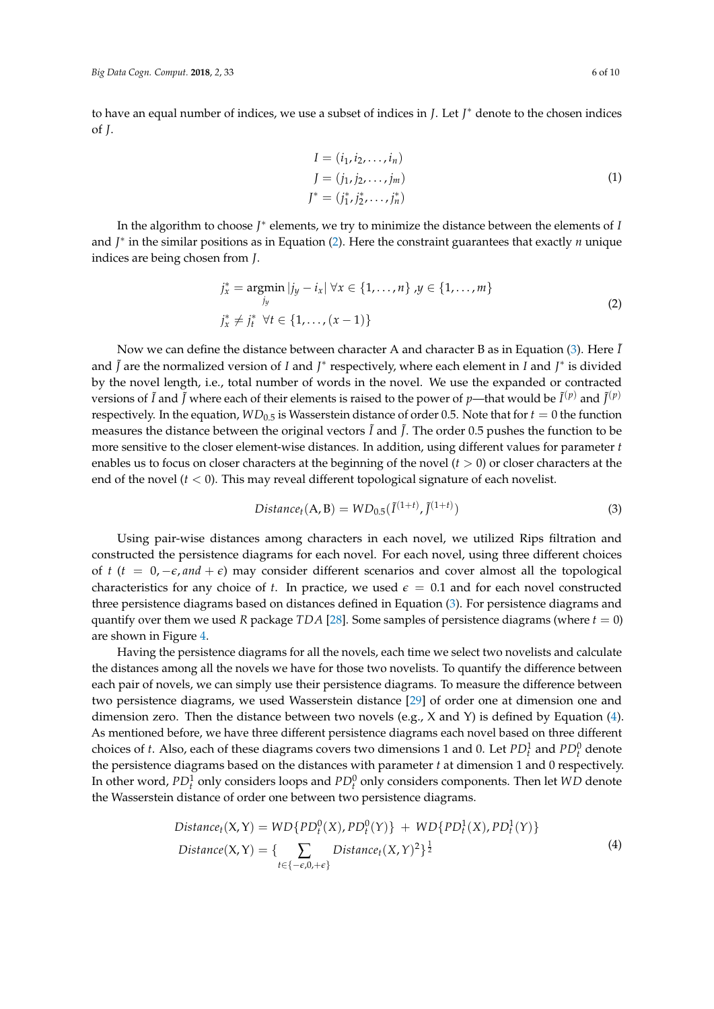to have an equal number of indices, we use a subset of indices in *J*. Let *J* <sup>∗</sup> denote to the chosen indices of *J*.

$$
I = (i_1, i_2, \dots, i_n)
$$
  
\n
$$
J = (j_1, j_2, \dots, j_m)
$$
  
\n
$$
J^* = (j_1^*, j_2^*, \dots, j_n^*)
$$
\n(1)

<span id="page-5-0"></span>In the algorithm to choose *J*<sup>\*</sup> elements, we try to minimize the distance between the elements of *I* and *J* ∗ in the similar positions as in Equation [\(2\)](#page-5-1). Here the constraint guarantees that exactly *n* unique indices are being chosen from *J*.

$$
j_x^* = \underset{j_y}{\text{argmin}} |j_y - i_x| \,\forall x \in \{1, ..., n\}, y \in \{1, ..., m\}
$$
  

$$
j_x^* \neq j_t^* \,\forall t \in \{1, ..., (x - 1)\}
$$
 (2)

<span id="page-5-1"></span>Now we can define the distance between character A and character B as in Equation [\(3\)](#page-5-2). Here  $\tilde{I}$ and  $\tilde{J}$  are the normalized version of *I* and *J*<sup>∗</sup> respectively, where each element in *I* and *J*<sup>∗</sup> is divided by the novel length, i.e., total number of words in the novel. We use the expanded or contracted versions of  $\tilde{I}$  and  $\tilde{J}$  where each of their elements is raised to the power of  $p$ —that would be  $\tilde{I}^{(p)}$  and  $\tilde{J}^{(p)}$ respectively. In the equation,  $WD_{0.5}$  is Wasserstein distance of order 0.5. Note that for  $t = 0$  the function measures the distance between the original vectors  $\tilde{I}$  and  $\tilde{J}$ . The order 0.5 pushes the function to be more sensitive to the closer element-wise distances. In addition, using different values for parameter *t* enables us to focus on closer characters at the beginning of the novel (*t* > 0) or closer characters at the end of the novel  $(t < 0)$ . This may reveal different topological signature of each novelist.

<span id="page-5-2"></span>
$$
Distance_t(A, B) = WD_{0.5}(\tilde{I}^{(1+t)}, \tilde{I}^{(1+t)})
$$
\n(3)

Using pair-wise distances among characters in each novel, we utilized Rips filtration and constructed the persistence diagrams for each novel. For each novel, using three different choices of *t* ( $t = 0, -\epsilon,$  *and* +  $\epsilon$ ) may consider different scenarios and cover almost all the topological characteristics for any choice of *t*. In practice, we used  $\epsilon = 0.1$  and for each novel constructed three persistence diagrams based on distances defined in Equation [\(3\)](#page-5-2). For persistence diagrams and quantify over them we used *R* package *TDA* [\[28\]](#page-9-4). Some samples of persistence diagrams (where *t* = 0) are shown in Figure [4.](#page-6-0)

Having the persistence diagrams for all the novels, each time we select two novelists and calculate the distances among all the novels we have for those two novelists. To quantify the difference between each pair of novels, we can simply use their persistence diagrams. To measure the difference between two persistence diagrams, we used Wasserstein distance [\[29\]](#page-9-5) of order one at dimension one and dimension zero. Then the distance between two novels (e.g.,  $X$  and  $Y$ ) is defined by Equation [\(4\)](#page-5-3). As mentioned before, we have three different persistence diagrams each novel based on three different choices of *t*. Also, each of these diagrams covers two dimensions 1 and 0. Let  $PD_t^1$  and  $PD_t^0$  denote the persistence diagrams based on the distances with parameter *t* at dimension 1 and 0 respectively. In other word,  $PD_t^1$  only considers loops and  $PD_t^0$  only considers components. Then let  $WD$  denote the Wasserstein distance of order one between two persistence diagrams.

<span id="page-5-3"></span>
$$
Distance_t(X, Y) = WD\{PD_t^0(X), PD_t^0(Y)\} + WD\{PD_t^1(X), PD_t^1(Y)\}
$$
  
\n
$$
Distance(X, Y) = \left\{\sum_{t \in \{-\epsilon, 0, +\epsilon\}} Distance_t(X, Y)^2\right\}^{\frac{1}{2}}
$$
\n(4)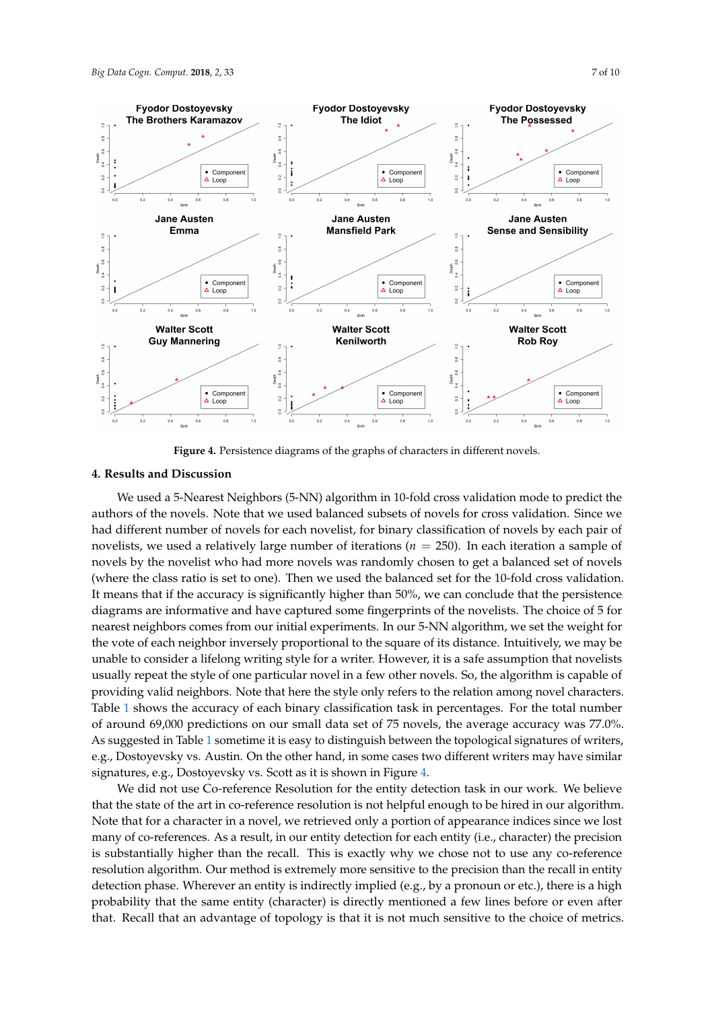<span id="page-6-0"></span>

**Figure 4.** Persistence diagrams of the graphs of characters in different novels.

## **4. Results and Discussion**

We used a 5-Nearest Neighbors (5-NN) algorithm in 10-fold cross validation mode to predict the authors of the novels. Note that we used balanced subsets of novels for cross validation. Since we had different number of novels for each novelist, for binary classification of novels by each pair of novelists, we used a relatively large number of iterations (*n* = 250). In each iteration a sample of novels by the novelist who had more novels was randomly chosen to get a balanced set of novels (where the class ratio is set to one). Then we used the balanced set for the 10-fold cross validation. It means that if the accuracy is significantly higher than 50%, we can conclude that the persistence diagrams are informative and have captured some fingerprints of the novelists. The choice of 5 for nearest neighbors comes from our initial experiments. In our 5-NN algorithm, we set the weight for the vote of each neighbor inversely proportional to the square of its distance. Intuitively, we may be unable to consider a lifelong writing style for a writer. However, it is a safe assumption that novelists usually repeat the style of one particular novel in a few other novels. So, the algorithm is capable of providing valid neighbors. Note that here the style only refers to the relation among novel characters. Table [1](#page-7-0) shows the accuracy of each binary classification task in percentages. For the total number of around 69,000 predictions on our small data set of 75 novels, the average accuracy was 77.0%. As suggested in Table [1](#page-7-0) sometime it is easy to distinguish between the topological signatures of writers, e.g., Dostoyevsky vs. Austin. On the other hand, in some cases two different writers may have similar signatures, e.g., Dostoyevsky vs. Scott as it is shown in Figure [4.](#page-6-0)

We did not use Co-reference Resolution for the entity detection task in our work. We believe that the state of the art in co-reference resolution is not helpful enough to be hired in our algorithm. Note that for a character in a novel, we retrieved only a portion of appearance indices since we lost many of co-references. As a result, in our entity detection for each entity (i.e., character) the precision is substantially higher than the recall. This is exactly why we chose not to use any co-reference resolution algorithm. Our method is extremely more sensitive to the precision than the recall in entity detection phase. Wherever an entity is indirectly implied (e.g., by a pronoun or etc.), there is a high probability that the same entity (character) is directly mentioned a few lines before or even after that. Recall that an advantage of topology is that it is not much sensitive to the choice of metrics.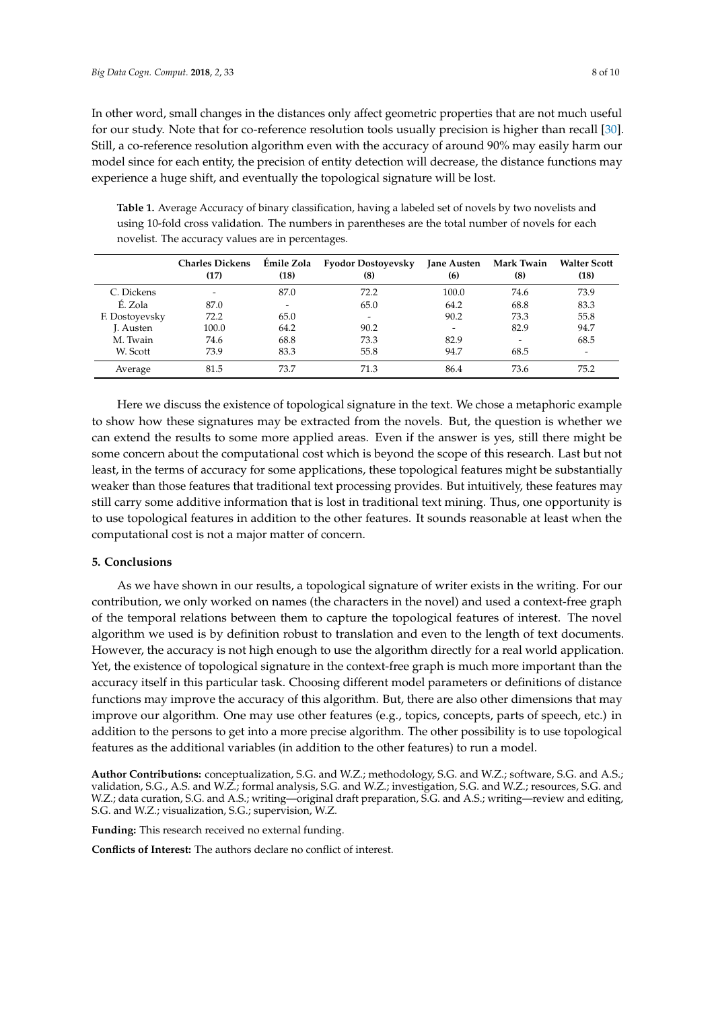In other word, small changes in the distances only affect geometric properties that are not much useful for our study. Note that for co-reference resolution tools usually precision is higher than recall [\[30\]](#page-9-6). Still, a co-reference resolution algorithm even with the accuracy of around 90% may easily harm our model since for each entity, the precision of entity detection will decrease, the distance functions may experience a huge shift, and eventually the topological signature will be lost.

<span id="page-7-0"></span>**Table 1.** Average Accuracy of binary classification, having a labeled set of novels by two novelists and using 10-fold cross validation. The numbers in parentheses are the total number of novels for each novelist. The accuracy values are in percentages.

|                | <b>Charles Dickens</b><br>(17) | (18) | Émile Zola Fyodor Dostoyevsky<br>(8) | (6)   | Jane Austen Mark Twain<br>(8) | <b>Walter Scott</b><br>(18) |
|----------------|--------------------------------|------|--------------------------------------|-------|-------------------------------|-----------------------------|
| C. Dickens     |                                | 87.0 | 72.2                                 | 100.0 | 74.6                          | 73.9                        |
| É. Zola        | 87.0                           |      | 65.0                                 | 64.2  | 68.8                          | 83.3                        |
| F. Dostoyevsky | 72.2                           | 65.0 |                                      | 90.2  | 73.3                          | 55.8                        |
| J. Austen      | 100.0                          | 64.2 | 90.2                                 | -     | 82.9                          | 94.7                        |
| M. Twain       | 74.6                           | 68.8 | 73.3                                 | 82.9  |                               | 68.5                        |
| W. Scott       | 73.9                           | 83.3 | 55.8                                 | 94.7  | 68.5                          |                             |
| Average        | 81.5                           | 73.7 | 71.3                                 | 86.4  | 73.6                          | 75.2                        |

Here we discuss the existence of topological signature in the text. We chose a metaphoric example to show how these signatures may be extracted from the novels. But, the question is whether we can extend the results to some more applied areas. Even if the answer is yes, still there might be some concern about the computational cost which is beyond the scope of this research. Last but not least, in the terms of accuracy for some applications, these topological features might be substantially weaker than those features that traditional text processing provides. But intuitively, these features may still carry some additive information that is lost in traditional text mining. Thus, one opportunity is to use topological features in addition to the other features. It sounds reasonable at least when the computational cost is not a major matter of concern.

## **5. Conclusions**

As we have shown in our results, a topological signature of writer exists in the writing. For our contribution, we only worked on names (the characters in the novel) and used a context-free graph of the temporal relations between them to capture the topological features of interest. The novel algorithm we used is by definition robust to translation and even to the length of text documents. However, the accuracy is not high enough to use the algorithm directly for a real world application. Yet, the existence of topological signature in the context-free graph is much more important than the accuracy itself in this particular task. Choosing different model parameters or definitions of distance functions may improve the accuracy of this algorithm. But, there are also other dimensions that may improve our algorithm. One may use other features (e.g., topics, concepts, parts of speech, etc.) in addition to the persons to get into a more precise algorithm. The other possibility is to use topological features as the additional variables (in addition to the other features) to run a model.

**Author Contributions:** conceptualization, S.G. and W.Z.; methodology, S.G. and W.Z.; software, S.G. and A.S.; validation, S.G., A.S. and W.Z.; formal analysis, S.G. and W.Z.; investigation, S.G. and W.Z.; resources, S.G. and W.Z.; data curation, S.G. and A.S.; writing—original draft preparation, S.G. and A.S.; writing—review and editing, S.G. and W.Z.; visualization, S.G.; supervision, W.Z.

**Funding:** This research received no external funding.

**Conflicts of Interest:** The authors declare no conflict of interest.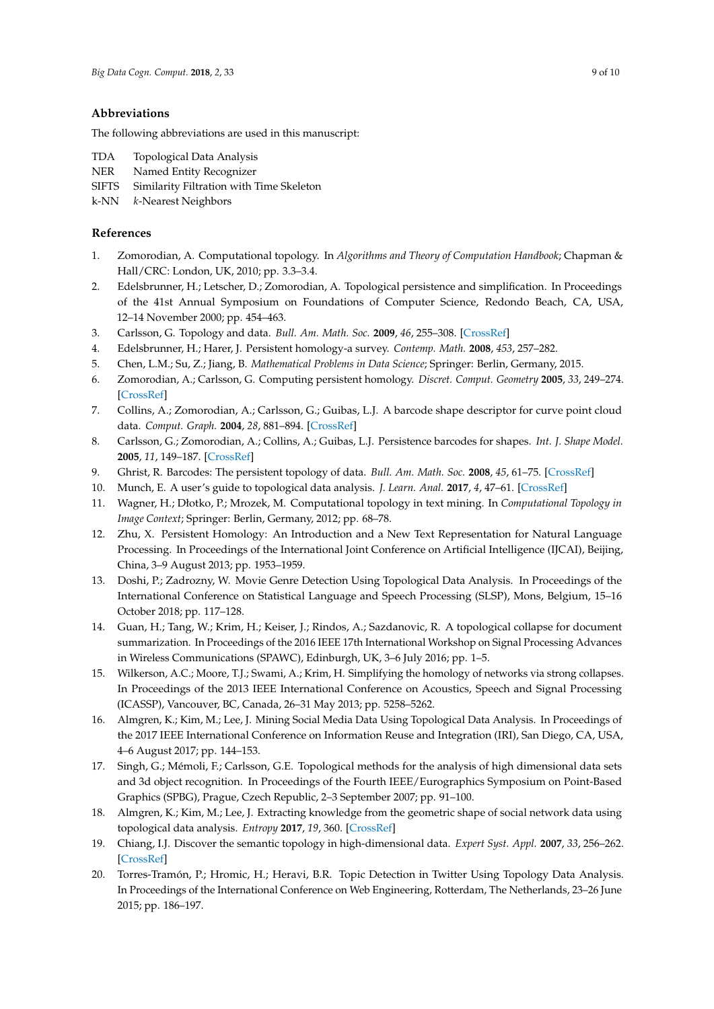# **Abbreviations**

The following abbreviations are used in this manuscript:

- TDA Topological Data Analysis
- NER Named Entity Recognizer
- SIFTS Similarity Filtration with Time Skeleton
- k-NN *k*-Nearest Neighbors

# **References**

- <span id="page-8-0"></span>1. Zomorodian, A. Computational topology. In *Algorithms and Theory of Computation Handbook*; Chapman & Hall/CRC: London, UK, 2010; pp. 3.3–3.4.
- <span id="page-8-1"></span>2. Edelsbrunner, H.; Letscher, D.; Zomorodian, A. Topological persistence and simplification. In Proceedings of the 41st Annual Symposium on Foundations of Computer Science, Redondo Beach, CA, USA, 12–14 November 2000; pp. 454–463.
- 3. Carlsson, G. Topology and data. *Bull. Am. Math. Soc.* **2009**, *46*, 255–308. [\[CrossRef\]](http://dx.doi.org/10.1090/S0273-0979-09-01249-X)
- <span id="page-8-7"></span>4. Edelsbrunner, H.; Harer, J. Persistent homology-a survey. *Contemp. Math.* **2008**, *453*, 257–282.
- <span id="page-8-2"></span>5. Chen, L.M.; Su, Z.; Jiang, B. *Mathematical Problems in Data Science*; Springer: Berlin, Germany, 2015.
- <span id="page-8-3"></span>6. Zomorodian, A.; Carlsson, G. Computing persistent homology. *Discret. Comput. Geometry* **2005**, *33*, 249–274. [\[CrossRef\]](http://dx.doi.org/10.1007/s00454-004-1146-y)
- <span id="page-8-4"></span>7. Collins, A.; Zomorodian, A.; Carlsson, G.; Guibas, L.J. A barcode shape descriptor for curve point cloud data. *Comput. Graph.* **2004**, *28*, 881–894. [\[CrossRef\]](http://dx.doi.org/10.1016/j.cag.2004.08.015)
- <span id="page-8-5"></span>8. Carlsson, G.; Zomorodian, A.; Collins, A.; Guibas, L.J. Persistence barcodes for shapes. *Int. J. Shape Model.* **2005**, *11*, 149–187. [\[CrossRef\]](http://dx.doi.org/10.1142/S0218654305000761)
- <span id="page-8-6"></span>9. Ghrist, R. Barcodes: The persistent topology of data. *Bull. Am. Math. Soc.* **2008**, *45*, 61–75. [\[CrossRef\]](http://dx.doi.org/10.1090/S0273-0979-07-01191-3)
- <span id="page-8-8"></span>10. Munch, E. A user's guide to topological data analysis. *J. Learn. Anal.* **2017**, *4*, 47–61. [\[CrossRef\]](http://dx.doi.org/10.18608/jla.2017.42.6)
- <span id="page-8-9"></span>11. Wagner, H.; Dłotko, P.; Mrozek, M. Computational topology in text mining. In *Computational Topology in Image Context*; Springer: Berlin, Germany, 2012; pp. 68–78.
- <span id="page-8-10"></span>12. Zhu, X. Persistent Homology: An Introduction and a New Text Representation for Natural Language Processing. In Proceedings of the International Joint Conference on Artificial Intelligence (IJCAI), Beijing, China, 3–9 August 2013; pp. 1953–1959.
- <span id="page-8-11"></span>13. Doshi, P.; Zadrozny, W. Movie Genre Detection Using Topological Data Analysis. In Proceedings of the International Conference on Statistical Language and Speech Processing (SLSP), Mons, Belgium, 15–16 October 2018; pp. 117–128.
- <span id="page-8-12"></span>14. Guan, H.; Tang, W.; Krim, H.; Keiser, J.; Rindos, A.; Sazdanovic, R. A topological collapse for document summarization. In Proceedings of the 2016 IEEE 17th International Workshop on Signal Processing Advances in Wireless Communications (SPAWC), Edinburgh, UK, 3–6 July 2016; pp. 1–5.
- <span id="page-8-13"></span>15. Wilkerson, A.C.; Moore, T.J.; Swami, A.; Krim, H. Simplifying the homology of networks via strong collapses. In Proceedings of the 2013 IEEE International Conference on Acoustics, Speech and Signal Processing (ICASSP), Vancouver, BC, Canada, 26–31 May 2013; pp. 5258–5262.
- <span id="page-8-14"></span>16. Almgren, K.; Kim, M.; Lee, J. Mining Social Media Data Using Topological Data Analysis. In Proceedings of the 2017 IEEE International Conference on Information Reuse and Integration (IRI), San Diego, CA, USA, 4–6 August 2017; pp. 144–153.
- <span id="page-8-15"></span>17. Singh, G.; Mémoli, F.; Carlsson, G.E. Topological methods for the analysis of high dimensional data sets and 3d object recognition. In Proceedings of the Fourth IEEE/Eurographics Symposium on Point-Based Graphics (SPBG), Prague, Czech Republic, 2–3 September 2007; pp. 91–100.
- <span id="page-8-16"></span>18. Almgren, K.; Kim, M.; Lee, J. Extracting knowledge from the geometric shape of social network data using topological data analysis. *Entropy* **2017**, *19*, 360. [\[CrossRef\]](http://dx.doi.org/10.3390/e19070360)
- <span id="page-8-17"></span>19. Chiang, I.J. Discover the semantic topology in high-dimensional data. *Expert Syst. Appl.* **2007**, *33*, 256–262. [\[CrossRef\]](http://dx.doi.org/10.1016/j.eswa.2006.05.033)
- <span id="page-8-18"></span>20. Torres-Tramón, P.; Hromic, H.; Heravi, B.R. Topic Detection in Twitter Using Topology Data Analysis. In Proceedings of the International Conference on Web Engineering, Rotterdam, The Netherlands, 23–26 June 2015; pp. 186–197.